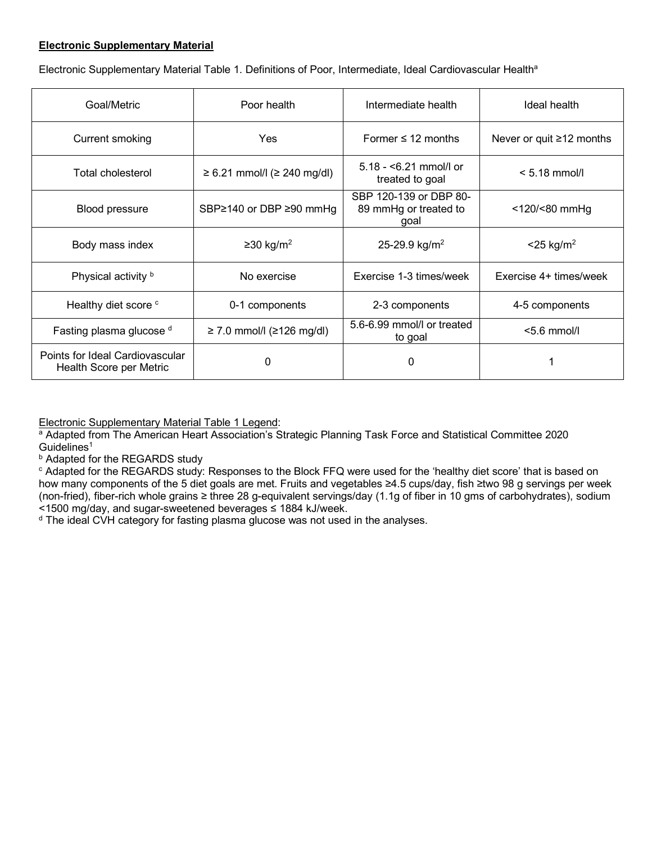#### **Electronic Supplementary Material**

Electronic Supplementary Material Table 1. Definitions of Poor, Intermediate, Ideal Cardiovascular Health<sup>a</sup>

| Goal/Metric                                                | Poor health                      | Intermediate health                                     | Ideal health                   |
|------------------------------------------------------------|----------------------------------|---------------------------------------------------------|--------------------------------|
| Current smoking                                            | Yes                              | Former $\leq 12$ months                                 | Never or quit $\geq$ 12 months |
| Total cholesterol                                          | $≥ 6.21$ mmol/l ( $≥ 240$ mg/dl) | $5.18 - 6.21$ mmol/l or<br>treated to goal              | $< 5.18$ mmol/l                |
| Blood pressure                                             | SBP≥140 or DBP ≥90 mmHg          | SBP 120-139 or DBP 80-<br>89 mmHg or treated to<br>goal | $<$ 120/ $<$ 80 mmHg           |
| Body mass index                                            | $≥30$ kg/m <sup>2</sup>          | 25-29.9 kg/m <sup>2</sup>                               | $<$ 25 kg/m <sup>2</sup>       |
| Physical activity b                                        | No exercise                      | Exercise 1-3 times/week                                 | Exercise 4+ times/week         |
| Healthy diet score <sup>c</sup>                            | 0-1 components                   | 2-3 components                                          | 4-5 components                 |
| Fasting plasma glucose d                                   | $≥ 7.0$ mmol/l ( $≥ 126$ mg/dl)  | 5.6-6.99 mmol/l or treated<br>to goal                   | $< 5.6$ mmol/l                 |
| Points for Ideal Cardiovascular<br>Health Score per Metric | 0                                | 0                                                       |                                |

Electronic Supplementary Material Table 1 Legend:

<sup>a</sup> Adapted from The American Heart Association's Strategic Planning Task Force and Statistical Committee 2020  $Guidelines<sup>1</sup>$ 

**b** Adapted for the REGARDS study

<sup>c</sup> Adapted for the REGARDS study: Responses to the Block FFQ were used for the 'healthy diet score' that is based on how many components of the 5 diet goals are met. Fruits and vegetables ≥4.5 cups/day, fish ≥two 98 g servings per week (non-fried), fiber-rich whole grains ≥ three 28 g-equivalent servings/day (1.1g of fiber in 10 gms of carbohydrates), sodium <1500 mg/day, and sugar-sweetened beverages ≤ 1884 kJ/week.

<sup>d</sup> The ideal CVH category for fasting plasma glucose was not used in the analyses.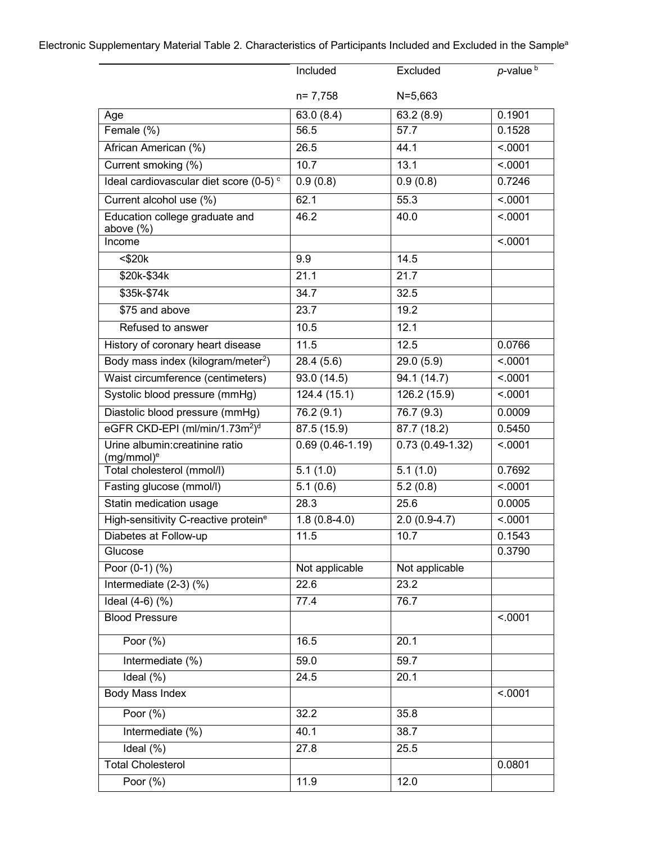|                                                        | Included          | Excluded                | $p$ -value $\overline{p}$ |
|--------------------------------------------------------|-------------------|-------------------------|---------------------------|
|                                                        | $n = 7,758$       | $N = 5,663$             |                           |
| Age                                                    | 63.0(8.4)         | 63.2(8.9)               | 0.1901                    |
| Female (%)                                             | 56.5              | 57.7                    | 0.1528                    |
| African American (%)                                   | 26.5              | 44.1                    | < .0001                   |
| Current smoking (%)                                    | $\overline{10.7}$ | 13.1                    | < .0001                   |
| Ideal cardiovascular diet score (0-5) <sup>c</sup>     | 0.9(0.8)          | 0.9(0.8)                | 0.7246                    |
| Current alcohol use (%)                                | 62.1              | 55.3                    | < .0001                   |
| Education college graduate and<br>above $(\%)$         | 46.2              | 40.0                    | < .0001                   |
| Income                                                 |                   |                         | < .0001                   |
| $<$ \$20 $k$                                           | 9.9               | 14.5                    |                           |
| \$20k-\$34k                                            | 21.1              | 21.7                    |                           |
| \$35k-\$74k                                            | 34.7              | 32.5                    |                           |
| $\overline{$}75$ and above                             | 23.7              | 19.2                    |                           |
| Refused to answer                                      | 10.5              | 12.1                    |                           |
| History of coronary heart disease                      | 11.5              | 12.5                    | 0.0766                    |
| Body mass index (kilogram/meter <sup>2</sup> )         | 28.4(5.6)         | 29.0(5.9)               | < .0001                   |
| Waist circumference (centimeters)                      | 93.0 (14.5)       | 94.1 (14.7)             | < .0001                   |
| Systolic blood pressure (mmHg)                         | 124.4 (15.1)      | 126.2 (15.9)            | < .0001                   |
| Diastolic blood pressure (mmHg)                        | 76.2(9.1)         | 76.7(9.3)               | 0.0009                    |
| eGFR CKD-EPI (ml/min/1.73m <sup>2</sup> ) <sup>d</sup> | 87.5 (15.9)       | $\overline{87.7(18.2)}$ | 0.5450                    |
| Urine albumin: creatinine ratio<br>$(mg/mmol)^e$       | $0.69(0.46-1.19)$ | $0.73(0.49-1.32)$       | < .0001                   |
| Total cholesterol (mmol/l)                             | 5.1(1.0)          | 5.1(1.0)                | 0.7692                    |
| Fasting glucose (mmol/l)                               | 5.1(0.6)          | 5.2(0.8)                | < .0001                   |
| Statin medication usage                                | 28.3              | 25.6                    | 0.0005                    |
| High-sensitivity C-reactive protein <sup>e</sup>       | $1.8(0.8-4.0)$    | $2.0(0.9-4.7)$          | < .0001                   |
| Diabetes at Follow-up                                  | 11.5              | 10.7                    | 0.1543                    |
| Glucose                                                |                   |                         | 0.3790                    |
| Poor (0-1) (%)                                         | Not applicable    | Not applicable          |                           |
| Intermediate (2-3) (%)                                 | 22.6              | 23.2                    |                           |
| Ideal $(4-6)$ $(\%)$                                   | 77.4              | 76.7                    |                           |
| <b>Blood Pressure</b>                                  |                   |                         | < .0001                   |
| Poor $(\%)$                                            | 16.5              | 20.1                    |                           |
| Intermediate (%)                                       | 59.0              | 59.7                    |                           |
| Ideal (%)                                              | 24.5              | 20.1                    |                           |
| Body Mass Index                                        |                   |                         | < .0001                   |
| Poor (%)                                               | 32.2              | 35.8                    |                           |
| Intermediate (%)                                       | 40.1              | 38.7                    |                           |
| Ideal (%)                                              | 27.8              | 25.5                    |                           |
| <b>Total Cholesterol</b>                               |                   |                         | 0.0801                    |
| Poor (%)                                               | 11.9              | 12.0                    |                           |

Electronic Supplementary Material Table 2. Characteristics of Participants Included and Excluded in the Sample<sup>a</sup>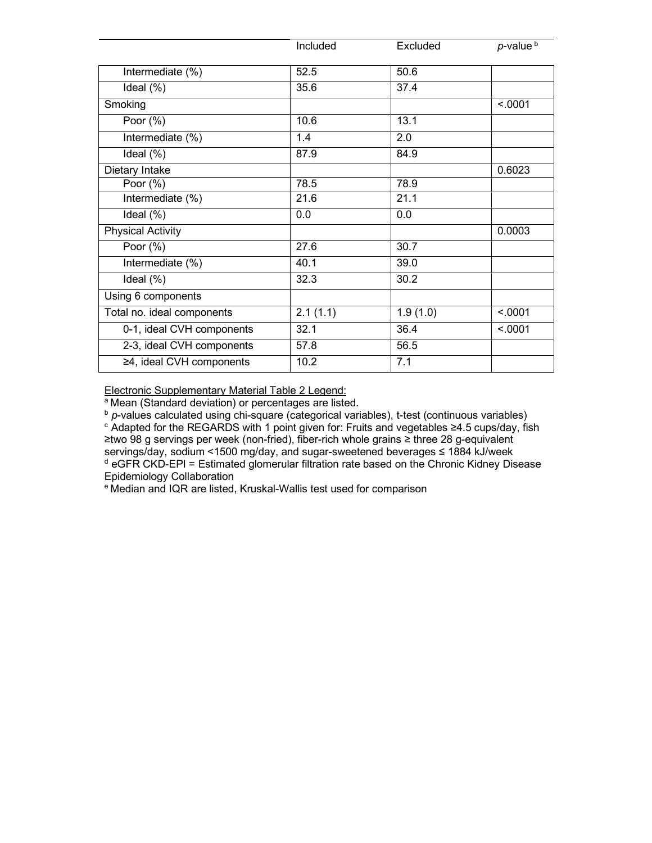|                            | Included | Excluded | $p$ -value $b$ |
|----------------------------|----------|----------|----------------|
| Intermediate (%)           | 52.5     | 50.6     |                |
| Ideal (%)                  | 35.6     | 37.4     |                |
| Smoking                    |          |          | < .0001        |
| Poor $(\%)$                | 10.6     | 13.1     |                |
| Intermediate (%)           | 1.4      | 2.0      |                |
| Ideal $(\%)$               | 87.9     | 84.9     |                |
| Dietary Intake             |          |          | 0.6023         |
| Poor $(\%)$                | 78.5     | 78.9     |                |
| Intermediate (%)           | 21.6     | 21.1     |                |
| Ideal $(\%)$               | 0.0      | 0.0      |                |
| Physical Activity          |          |          | 0.0003         |
| Poor $(\%)$                | 27.6     | 30.7     |                |
| Intermediate (%)           | 40.1     | 39.0     |                |
| Ideal (%)                  | 32.3     | 30.2     |                |
| Using 6 components         |          |          |                |
| Total no. ideal components | 2.1(1.1) | 1.9(1.0) | < .0001        |
| 0-1, ideal CVH components  | 32.1     | 36.4     | < .0001        |
| 2-3, ideal CVH components  | 57.8     | 56.5     |                |
| ≥4, ideal CVH components   | 10.2     | 7.1      |                |

Electronic Supplementary Material Table 2 Legend:

a Mean (Standard deviation) or percentages are listed.

b *p*-values calculated using chi-square (categorical variables), t-test (continuous variables)<br>
<sup>c</sup> Adapted for the REGARDS with 1 point given for: Fruits and vegetables ≥4.5 cups/day, fish ≥two 98 g servings per week (non-fried), fiber-rich whole grains ≥ three 28 g-equivalent servings/day, sodium <1500 mg/day, and sugar-sweetened beverages ≤ 1884 kJ/week <sup>d</sup> eGFR CKD-EPI = Estimated glomerular filtration rate based on the Chronic Kidney Disease Epidemiology Collaboration

e Median and IQR are listed, Kruskal-Wallis test used for comparison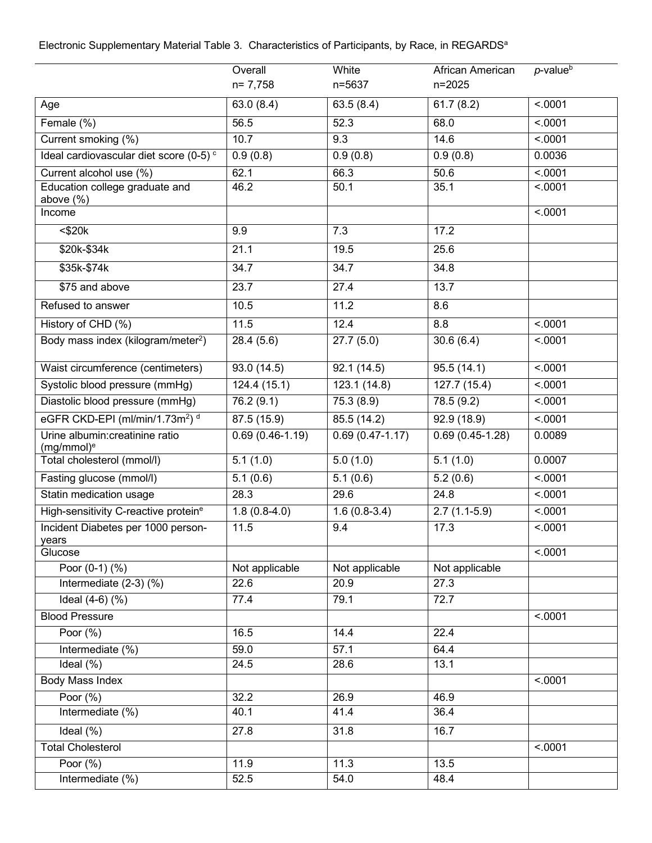# Electronic Supplementary Material Table 3.Characteristics of Participants, by Race, in REGARDSa

|                                                        | Overall           | White               | African American  | $p$ -value $b$ |
|--------------------------------------------------------|-------------------|---------------------|-------------------|----------------|
|                                                        | $n = 7,758$       | n=5637              | n=2025            |                |
| Age                                                    | 63.0(8.4)         | 63.5(8.4)           | 61.7(8.2)         | < .0001        |
| Female (%)                                             | 56.5              | 52.3                | 68.0              | < .0001        |
| Current smoking (%)                                    | 10.7              | 9.3                 | 14.6              | < .0001        |
| Ideal cardiovascular diet score (0-5) <sup>c</sup>     | 0.9(0.8)          | 0.9(0.8)            | 0.9(0.8)          | 0.0036         |
| Current alcohol use (%)                                | 62.1              | 66.3                | 50.6              | < .0001        |
| Education college graduate and<br>above $(\%)$         | 46.2              | 50.1                | 35.1              | < .0001        |
| Income                                                 |                   |                     |                   | < .0001        |
| $<$ \$20 $k$                                           | 9.9               | 7.3                 | 17.2              |                |
| \$20k-\$34k                                            | 21.1              | 19.5                | 25.6              |                |
| \$35k-\$74k                                            | 34.7              | 34.7                | 34.8              |                |
| \$75 and above                                         | 23.7              | 27.4                | 13.7              |                |
| Refused to answer                                      | 10.5              | 11.2                | 8.6               |                |
| History of CHD (%)                                     | 11.5              | 12.4                | 8.8               | < .0001        |
| Body mass index (kilogram/meter <sup>2</sup> )         | 28.4 (5.6)        | 27.7(5.0)           | 30.6(6.4)         | < .0001        |
| Waist circumference (centimeters)                      | 93.0 (14.5)       | 92.1(14.5)          | 95.5(14.1)        | < .0001        |
| Systolic blood pressure (mmHg)                         | 124.4(15.1)       | 123.1(14.8)         | 127.7(15.4)       | < .0001        |
| Diastolic blood pressure (mmHg)                        | 76.2 (9.1)        | 75.3(8.9)           | 78.5 (9.2)        | < .0001        |
| eGFR CKD-EPI (ml/min/1.73m <sup>2</sup> ) <sup>d</sup> | 87.5 (15.9)       | 85.5 (14.2)         | 92.9 (18.9)       | < .0001        |
| Urine albumin: creatinine ratio<br>$(mg/mmol)^e$       | $0.69(0.46-1.19)$ | $0.69(0.47 - 1.17)$ | $0.69(0.45-1.28)$ | 0.0089         |
| Total cholesterol (mmol/l)                             | 5.1(1.0)          | 5.0(1.0)            | 5.1(1.0)          | 0.0007         |
| Fasting glucose (mmol/l)                               | 5.1(0.6)          | 5.1(0.6)            | 5.2(0.6)          | < 0001         |
| Statin medication usage                                | 28.3              | 29.6                | 24.8              | < .0001        |
| High-sensitivity C-reactive proteine                   | $1.8(0.8-4.0)$    | $1.6(0.8-3.4)$      | $2.7(1.1-5.9)$    | < .0001        |
| Incident Diabetes per 1000 person-<br>years            | 11.5              | 9.4                 | 17.3              | < .0001        |
| Glucose                                                |                   |                     |                   | < .0001        |
| Poor $(0-1)$ $(\%)$                                    | Not applicable    | Not applicable      | Not applicable    |                |
| Intermediate $(2-3)$ $(\%)$                            | 22.6              | 20.9                | $\overline{27.3}$ |                |
| Ideal $(4-6)$ $(\%)$                                   | 77.4              | 79.1                | 72.7              |                |
| <b>Blood Pressure</b>                                  |                   |                     |                   | < .0001        |
| Poor $(\sqrt[6]{6})$                                   | $\overline{16.5}$ | 14.4                | 22.4              |                |
| Intermediate (%)                                       | 59.0              | 57.1                | 64.4              |                |
| Ideal $(\%)$                                           | 24.5              | 28.6                | 13.1              |                |
| Body Mass Index                                        |                   |                     |                   | < .0001        |
| Poor $(\%)$                                            | 32.2              | 26.9                | 46.9              |                |
| Intermediate (%)                                       | 40.1              | 41.4                | 36.4              |                |
| Ideal $(\%)$                                           | 27.8              | $\overline{31.8}$   | 16.7              |                |
| <b>Total Cholesterol</b>                               |                   |                     |                   | < .0001        |
| Poor $(\%)$                                            | 11.9              | 11.3                | 13.5              |                |
| Intermediate (%)                                       | 52.5              | 54.0                | 48.4              |                |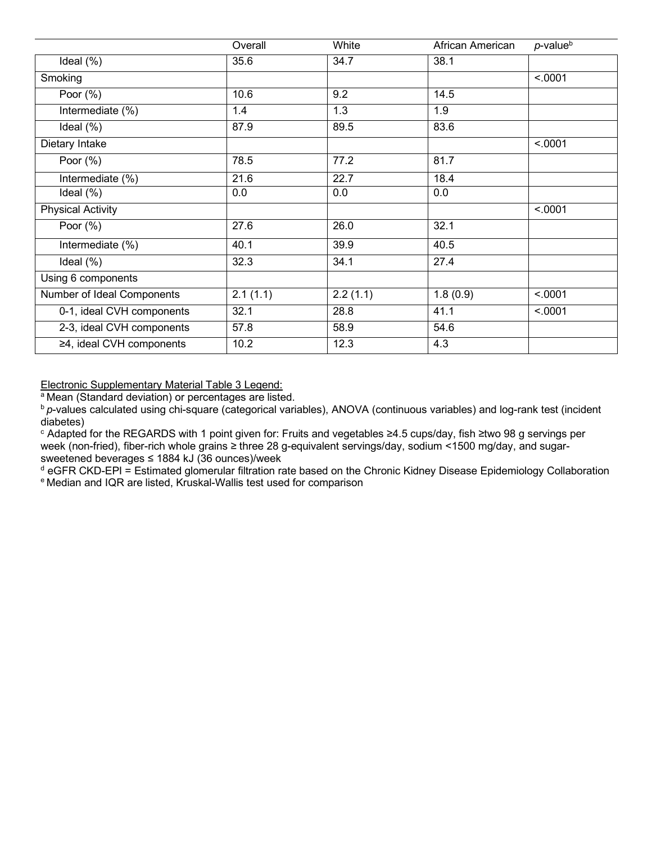|                            | Overall  | White    | African American | $p$ -value $b$ |
|----------------------------|----------|----------|------------------|----------------|
| Ideal (%)                  | 35.6     | 34.7     | 38.1             |                |
| Smoking                    |          |          |                  | < .0001        |
| Poor $(\%)$                | 10.6     | 9.2      | 14.5             |                |
| Intermediate (%)           | 1.4      | 1.3      | 1.9              |                |
| Ideal (%)                  | 87.9     | 89.5     | 83.6             |                |
| Dietary Intake             |          |          |                  | < .0001        |
| Poor $(\%)$                | 78.5     | 77.2     | 81.7             |                |
| Intermediate (%)           | 21.6     | 22.7     | 18.4             |                |
| Ideal (%)                  | 0.0      | 0.0      | 0.0              |                |
| <b>Physical Activity</b>   |          |          |                  | < .0001        |
| Poor $(\%)$                | 27.6     | 26.0     | 32.1             |                |
| Intermediate (%)           | 40.1     | 39.9     | 40.5             |                |
| Ideal (%)                  | 32.3     | 34.1     | 27.4             |                |
| Using 6 components         |          |          |                  |                |
| Number of Ideal Components | 2.1(1.1) | 2.2(1.1) | 1.8(0.9)         | < .0001        |
| 0-1, ideal CVH components  | 32.1     | 28.8     | 41.1             | < .0001        |
| 2-3, ideal CVH components  | 57.8     | 58.9     | 54.6             |                |
| ≥4, ideal CVH components   | 10.2     | 12.3     | 4.3              |                |

Electronic Supplementary Material Table 3 Legend:

a Mean (Standard deviation) or percentages are listed.

**b** p-values calculated using chi-square (categorical variables), ANOVA (continuous variables) and log-rank test (incident diabetes)

<sup>c</sup> Adapted for the REGARDS with 1 point given for: Fruits and vegetables ≥4.5 cups/day, fish ≥two 98 g servings per week (non-fried), fiber-rich whole grains ≥ three 28 g-equivalent servings/day, sodium <1500 mg/day, and sugarsweetened beverages ≤ 1884 kJ (36 ounces)/week

<sup>d</sup> eGFR CKD-EPI = Estimated glomerular filtration rate based on the Chronic Kidney Disease Epidemiology Collaboration e Median and IQR are listed, Kruskal-Wallis test used for comparison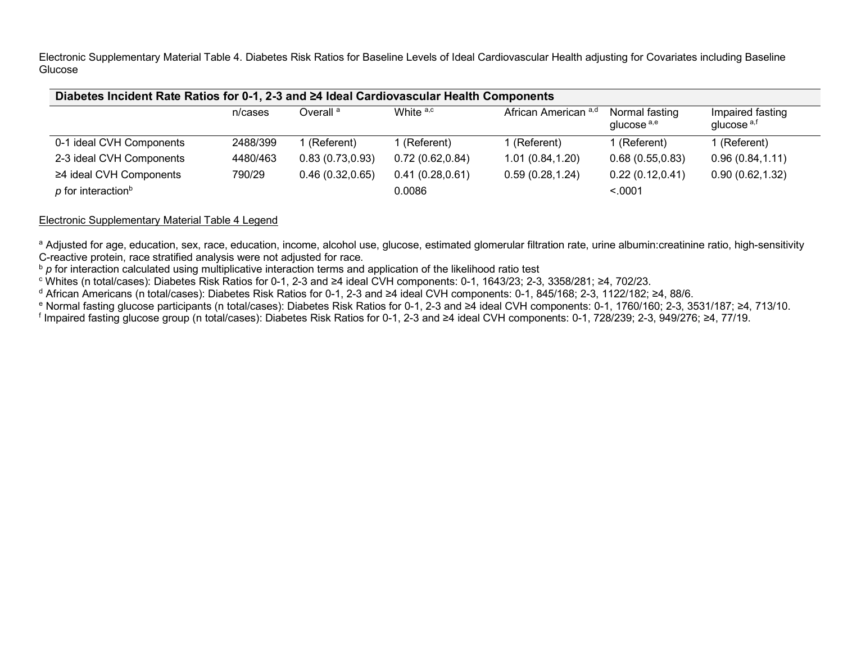Electronic Supplementary Material Table 4. Diabetes Risk Ratios for Baseline Levels of Ideal Cardiovascular Health adjusting for Covariates including Baseline Glucose

| Diabetes Incident Rate Ratios for 0-1, 2-3 and ≥4 Ideal Cardiovascular Health Components |          |                      |                  |                      |                                          |                                            |  |
|------------------------------------------------------------------------------------------|----------|----------------------|------------------|----------------------|------------------------------------------|--------------------------------------------|--|
|                                                                                          | n/cases  | Overall <sup>a</sup> | White a,c        | African American a,d | Normal fasting<br>glucose <sup>a,e</sup> | Impaired fasting<br>glucose <sup>a,f</sup> |  |
| 0-1 ideal CVH Components                                                                 | 2488/399 | l (Referent).        | l (Referent).    | 1 (Referent).        | 1 (Referent)                             | 1 (Referent)                               |  |
| 2-3 ideal CVH Components                                                                 | 4480/463 | 0.83(0.73, 0.93)     | 0.72(0.62, 0.84) | 1.01(0.84, 1.20)     | 0.68(0.55, 0.83)                         | 0.96(0.84, 1.11)                           |  |
| ≥4 ideal CVH Components                                                                  | 790/29   | 0.46(0.32, 0.65)     | 0.41(0.28, 0.61) | 0.59(0.28, 1.24)     | 0.22(0.12,0.41)                          | 0.90(0.62, 1.32)                           |  |
| $p$ for interaction <sup>b</sup>                                                         |          |                      | 0.0086           |                      | < 0.001                                  |                                            |  |

## Electronic Supplementary Material Table 4 Legend

<sup>a</sup> Adjusted for age, education, sex, race, education, income, alcohol use, glucose, estimated glomerular filtration rate, urine albumin:creatinine ratio, high-sensitivity C-reactive protein, race stratified analysis were not adjusted for race.

<sup>b</sup> p for interaction calculated using multiplicative interaction terms and application of the likelihood ratio test

<sup>c</sup> Whites (n total/cases): Diabetes Risk Ratios for 0-1, 2-3 and ≥4 ideal CVH components: 0-1, 1643/23; 2-3, 3358/281; ≥4, 702/23.

<sup>d</sup> African Americans (n total/cases): Diabetes Risk Ratios for 0-1, 2-3 and ≥4 ideal CVH components: 0-1, 845/168; 2-3, 1122/182; ≥4, 88/6.

<sup>e</sup> Normal fasting glucose participants (n total/cases): Diabetes Risk Ratios for 0-1, 2-3 and ≥4 ideal CVH components: 0-1, 1760/160; 2-3, 3531/187; ≥4, 713/10.

<sup>f</sup> Impaired fasting glucose group (n total/cases): Diabetes Risk Ratios for 0-1, 2-3 and ≥4 ideal CVH components: 0-1, 728/239; 2-3, 949/276; ≥4, 77/19.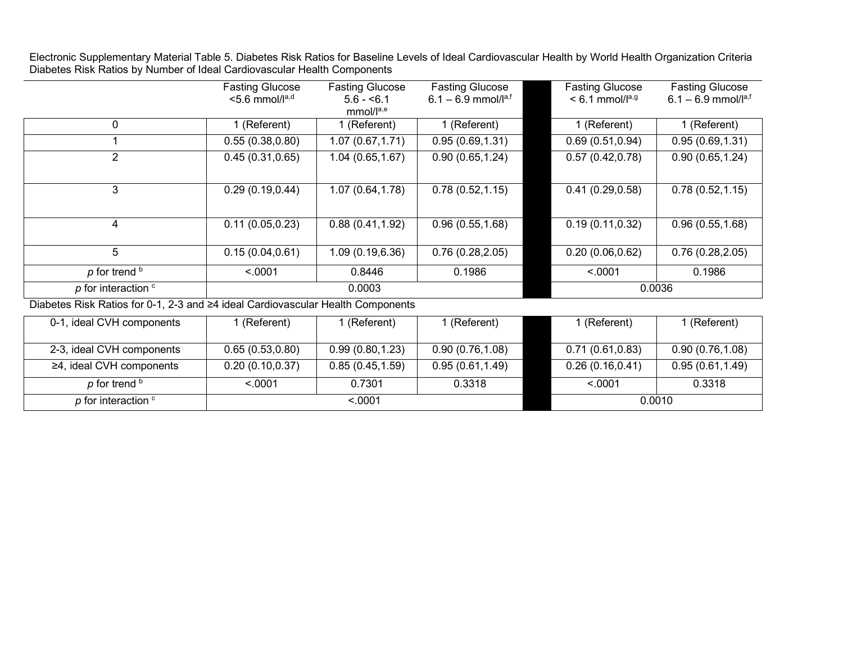Electronic Supplementary Material Table 5. Diabetes Risk Ratios for Baseline Levels of Ideal Cardiovascular Health by World Health Organization Criteria Diabetes Risk Ratios by Number of Ideal Cardiovascular Health Components

| <b>Fasting Glucose</b><br>$<$ 5.6 mmol/ $Ia,d$ | <b>Fasting Glucose</b><br>$5.6 - 6.1$<br>mmol/la,e | <b>Fasting Glucose</b><br>$6.1 - 6.9$ mmol/la,f | <b>Fasting Glucose</b><br>$< 6.1$ mmol/ $Ia,g$                                  | <b>Fasting Glucose</b><br>6.1 – 6.9 mmol/ $I^{a,f}$ |
|------------------------------------------------|----------------------------------------------------|-------------------------------------------------|---------------------------------------------------------------------------------|-----------------------------------------------------|
| (Referent)                                     | 1 (Referent)                                       | 1 (Referent)                                    | 1 (Referent)                                                                    | 1 (Referent)                                        |
| 0.55(0.38, 0.80)                               | 1.07(0.67, 1.71)                                   | 0.95(0.69, 1.31)                                | 0.69(0.51, 0.94)                                                                | 0.95(0.69, 1.31)                                    |
| 0.45(0.31, 0.65)                               | 1.04(0.65, 1.67)                                   | 0.90(0.65, 1.24)                                | 0.57(0.42, 0.78)                                                                | 0.90(0.65, 1.24)                                    |
| 0.29(0.19, 0.44)                               | 1.07(0.64, 1.78)                                   | 0.78(0.52, 1.15)                                | 0.41(0.29, 0.58)                                                                | 0.78(0.52, 1.15)                                    |
| 0.11(0.05, 0.23)                               | 0.88(0.41, 1.92)                                   | 0.96(0.55, 1.68)                                | 0.19(0.11, 0.32)                                                                | 0.96(0.55, 1.68)                                    |
| 0.15(0.04, 0.61)                               | 1.09(0.19, 6.36)                                   | 0.76(0.28, 2.05)                                | 0.20(0.06, 0.62)                                                                | 0.76(0.28, 2.05)                                    |
| < .0001                                        | 0.8446                                             | 0.1986                                          | < .0001                                                                         | 0.1986                                              |
|                                                | 0.0003                                             |                                                 | 0.0036                                                                          |                                                     |
|                                                |                                                    |                                                 | Diabotos Pisk Paties for 0.1, 2.3 and 54 ideal Cardiovascular Hoalth Components |                                                     |

Diabetes Risk Ratios for 0-1, 2-3 and ≥4 ideal Cardiovascular Health Components

| 0-1, ideal CVH components      | l (Referent)     | (Referent)       | Keferent)        |  | (Referent)       | 1 (Referent)     |
|--------------------------------|------------------|------------------|------------------|--|------------------|------------------|
|                                |                  |                  |                  |  |                  |                  |
| 2-3, ideal CVH components      | 0.65(0.53,0.80)  | 0.99(0.80, 1.23) | 0.90(0.76, 1.08) |  | 0.71(0.61, 0.83) | 0.90(0.76, 1.08) |
| $\geq$ 4, ideal CVH components | 0.20(0.10, 0.37) | 0.85(0.45, 1.59) | 0.95(0.61, 1.49) |  | 0.26(0.16, 0.41) | 0.95(0.61, 1.49) |
| p for trend b                  | < 0.001          | 0.7301           | 0.3318           |  | < 0.001          | 0.3318           |
| $p$ for interaction $\circ$    |                  | < 0.001          |                  |  | 0.0010           |                  |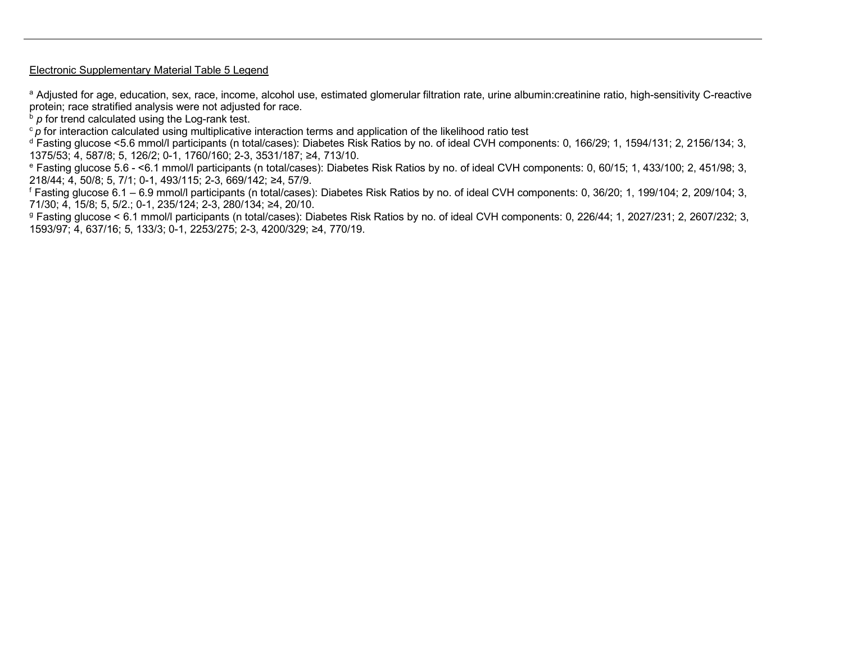#### Electronic Supplementary Material Table 5 Legend

<sup>a</sup> Adjusted for age, education, sex, race, income, alcohol use, estimated glomerular filtration rate, urine albumin:creatinine ratio, high-sensitivity C-reactive protein; race stratified analysis were not adjusted for race.

 $\overline{p}$  *p* for trend calculated using the Log-rank test.

<sup>c</sup> p for interaction calculated using multiplicative interaction terms and application of the likelihood ratio test

<sup>d</sup> Fasting glucose <5.6 mmol/l participants (n total/cases): Diabetes Risk Ratios by no. of ideal CVH components: 0, 166/29; 1, 1594/131; 2, 2156/134; 3, 1375/53; 4, 587/8; 5, 126/2; 0-1, 1760/160; 2-3, 3531/187; ≥4, 713/10.

<sup>e</sup> Fasting glucose 5.6 - <6.1 mmol/l participants (n total/cases): Diabetes Risk Ratios by no. of ideal CVH components: 0, 60/15; 1, 433/100; 2, 451/98; 3, 218/44; 4, 50/8; 5, 7/1; 0-1, 493/115; 2-3, 669/142; ≥4, 57/9.

<sup>f</sup> Fasting glucose 6.1 – 6.9 mmol/l participants (n total/cases): Diabetes Risk Ratios by no. of ideal CVH components: 0, 36/20; 1, 199/104; 2, 209/104; 3, 71/30; 4, 15/8; 5, 5/2.; 0-1, 235/124; 2-3, 280/134; ≥4, 20/10.

<sup>g</sup> Fasting glucose < 6.1 mmol/l participants (n total/cases): Diabetes Risk Ratios by no. of ideal CVH components: 0, 226/44; 1, 2027/231; 2, 2607/232; 3, 1593/97; 4, 637/16; 5, 133/3; 0-1, 2253/275; 2-3, 4200/329; ≥4, 770/19.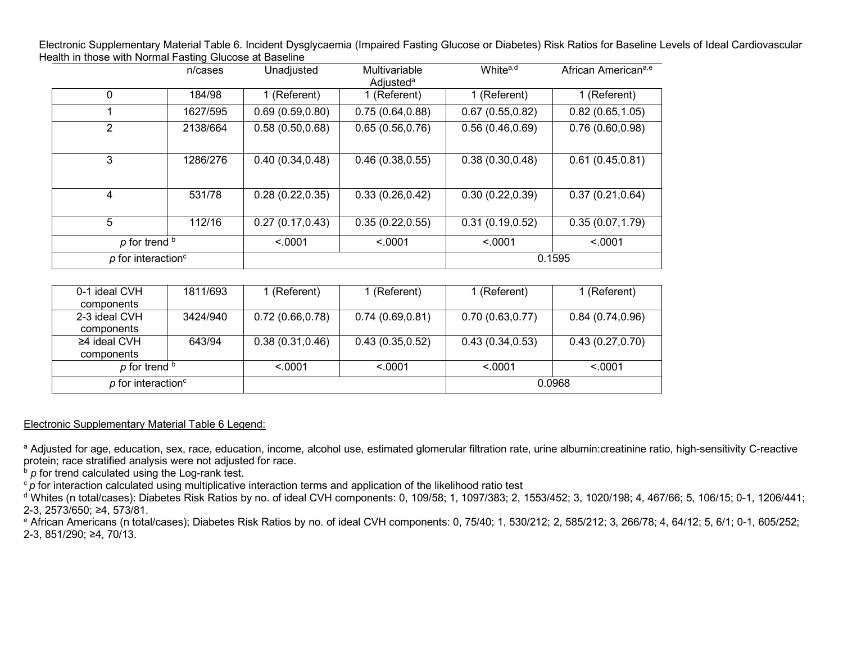Electronic Supplementary Material Table 6. Incident Dysglycaemia (Impaired Fasting Glucose or Diabetes) Risk Ratios for Baseline Levels of Ideal Cardiovascular Health in those with Normal Fasting Glucose at Baseline

|                                  | n/cases  | Unadjusted       | Multivariable<br>Adjusted <sup>a</sup> | White <sup>a,d</sup> | African Americana,e |
|----------------------------------|----------|------------------|----------------------------------------|----------------------|---------------------|
| 0                                | 184/98   | 1 (Referent)     | 1 (Referent)                           | 1 (Referent)         | 1 (Referent)        |
|                                  | 1627/595 | 0.69(0.59, 0.80) | 0.75(0.64, 0.88)                       | 0.67(0.55, 0.82)     | 0.82(0.65, 1.05)    |
| 2                                | 2138/664 | 0.58(0.50, 0.68) | 0.65(0.56, 0.76)                       | 0.56(0.46, 0.69)     | 0.76(0.60, 0.98)    |
| 3                                | 1286/276 | 0.40(0.34, 0.48) | 0.46(0.38, 0.55)                       | 0.38(0.30, 0.48)     | 0.61(0.45, 0.81)    |
| 4                                | 531/78   | 0.28(0.22, 0.35) | 0.33(0.26, 0.42)                       | 0.30(0.22, 0.39)     | 0.37(0.21, 0.64)    |
| 5                                | 112/16   | 0.27(0.17, 0.43) | 0.35(0.22, 0.55)                       | 0.31(0.19, 0.52)     | 0.35(0.07, 1.79)    |
| $p$ for trend $b$                |          | < 0.001          | < .0001                                | < 0001               | < .0001             |
| $p$ for interaction <sup>c</sup> |          |                  |                                        |                      | 0.1595              |

| 0-1 ideal CVH                    | 1811/693 | ∣ (Referent)     | 1 (Referent)     | 1 (Referent)     | 1 (Referent)     |
|----------------------------------|----------|------------------|------------------|------------------|------------------|
| components                       |          |                  |                  |                  |                  |
| 2-3 ideal CVH                    | 3424/940 | 0.72(0.66, 0.78) | 0.74(0.69, 0.81) | 0.70(0.63, 0.77) | 0.84(0.74, 0.96) |
| components                       |          |                  |                  |                  |                  |
| ≥4 ideal CVH                     | 643/94   | 0.38(0.31, 0.46) | 0.43(0.35, 0.52) | 0.43(0.34, 0.53) | 0.43(0.27, 0.70) |
| components                       |          |                  |                  |                  |                  |
| $p$ for trend $\frac{b}{p}$      |          | < 0.001          | < 0.001          | < 0.001          | < 0.001          |
| $p$ for interaction <sup>c</sup> |          |                  |                  | 0.0968           |                  |

Electronic Supplementary Material Table 6 Legend:

<sup>a</sup> Adjusted for age, education, sex, race, education, income, alcohol use, estimated glomerular filtration rate, urine albumin:creatinine ratio, high-sensitivity C-reactive protein; race stratified analysis were not adjusted for race.

 $\overline{b}$  *p* for trend calculated using the Log-rank test.

<sup>c</sup> p for interaction calculated using multiplicative interaction terms and application of the likelihood ratio test

<sup>d</sup> Whites (n total/cases): Diabetes Risk Ratios by no. of ideal CVH components: 0, 109/58; 1, 1097/383; 2, 1553/452; 3, 1020/198; 4, 467/66; 5, 106/15; 0-1, 1206/441; 2-3, 2573/650; ≥4, 573/81.

<sup>e</sup> African Americans (n total/cases); Diabetes Risk Ratios by no. of ideal CVH components: 0, 75/40; 1, 530/212; 2, 585/212; 3, 266/78; 4, 64/12; 5, 6/1; 0-1, 605/252; 2-3, 851/290; ≥4, 70/13.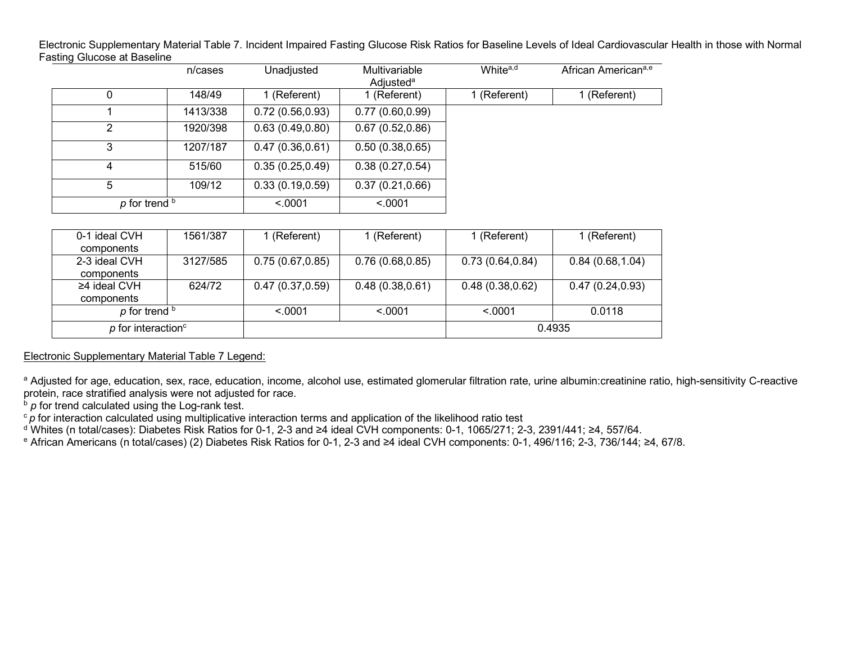Electronic Supplementary Material Table 7. Incident Impaired Fasting Glucose Risk Ratios for Baseline Levels of Ideal Cardiovascular Health in those with Normal Fasting Glucose at Baseline

|                             | n/cases  | Unadjusted       | Multivariable<br>Adjusted <sup>a</sup> | White <sup>a,d</sup> | African American <sup>a,e</sup> |
|-----------------------------|----------|------------------|----------------------------------------|----------------------|---------------------------------|
| 0                           | 148/49   | 1 (Referent)     | 1 (Referent)                           | 1 (Referent)         | 1 (Referent)                    |
|                             | 1413/338 | 0.72(0.56, 0.93) | 0.77(0.60, 0.99)                       |                      |                                 |
| 2                           | 1920/398 | 0.63(0.49, 0.80) | 0.67(0.52,0.86)                        |                      |                                 |
|                             | 1207/187 | 0.47(0.36, 0.61) | 0.50(0.38, 0.65)                       |                      |                                 |
|                             | 515/60   | 0.35(0.25, 0.49) | 0.38(0.27, 0.54)                       |                      |                                 |
| 5                           | 109/12   | 0.33(0.19, 0.59) | 0.37(0.21, 0.66)                       |                      |                                 |
| $p$ for trend $\frac{b}{p}$ |          | < 0.001          | < .0001                                |                      |                                 |

| 0-1 ideal CVH                  | 1561/387 | (Referent)       | 1 (Referent)     | 1 (Referent)     | 1 (Referent)     |
|--------------------------------|----------|------------------|------------------|------------------|------------------|
| components                     |          |                  |                  |                  |                  |
| 2-3 ideal CVH                  | 3127/585 | 0.75(0.67, 0.85) | 0.76(0.68, 0.85) | 0.73(0.64, 0.84) | 0.84(0.68, 1.04) |
| components                     |          |                  |                  |                  |                  |
| ≥4 ideal CVH                   | 624/72   | 0.47(0.37, 0.59) | 0.48(0.38, 0.61) | 0.48(0.38, 0.62) | 0.47(0.24, 0.93) |
| components                     |          |                  |                  |                  |                  |
| $p$ for trend $\frac{b}{p}$    |          | < 0.001          | < 0.001          | < 0.001          | 0.0118           |
| p for interaction <sup>c</sup> |          |                  |                  | 0.4935           |                  |

## Electronic Supplementary Material Table 7 Legend:

a Adjusted for age, education, sex, race, education, income, alcohol use, estimated glomerular filtration rate, urine albumin:creatinine ratio, high-sensitivity C-reactive protein, race stratified analysis were not adjusted for race.

 $\overline{p}$  *p* for trend calculated using the Log-rank test.

c<sup>*p*</sup> for interaction calculated using multiplicative interaction terms and application of the likelihood ratio test

<sup>d</sup> Whites (n total/cases): Diabetes Risk Ratios for 0-1, 2-3 and ≥4 ideal CVH components: 0-1, 1065/271; 2-3, 2391/441; ≥4, 557/64.

<sup>e</sup> African Americans (n total/cases) (2) Diabetes Risk Ratios for 0-1, 2-3 and ≥4 ideal CVH components: 0-1, 496/116; 2-3, 736/144; ≥4, 67/8.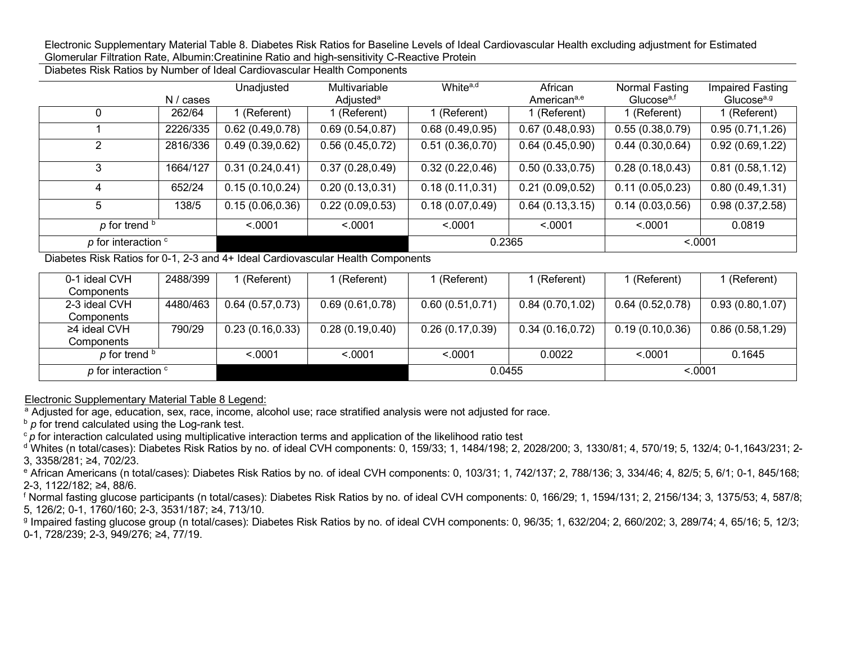Electronic Supplementary Material Table 8. Diabetes Risk Ratios for Baseline Levels of Ideal Cardiovascular Health excluding adjustment for Estimated Glomerular Filtration Rate, Albumin:Creatinine Ratio and high-sensitivity C-Reactive Protein

Diabetes Risk Ratios by Number of Ideal Cardiovascular Health Components

|                             | N / cases | Unadjusted       | Multivariable<br>Adjusted <sup>a</sup> | White <sup>a,d</sup> | African<br>American <sup>a,e</sup> | Normal Fasting<br>Glucose <sup>a,f</sup> | Impaired Fasting<br>Glucose <sup>a,g</sup> |
|-----------------------------|-----------|------------------|----------------------------------------|----------------------|------------------------------------|------------------------------------------|--------------------------------------------|
|                             | 262/64    | (Referent)       | 1 (Referent)                           | 1 (Referent)         | 1 (Referent)                       | 1 (Referent)                             | 1 (Referent)                               |
|                             | 2226/335  | 0.62(0.49, 0.78) | 0.69(0.54, 0.87)                       | 0.68(0.49, 0.95)     | 0.67(0.48, 0.93)                   | 0.55(0.38, 0.79)                         | 0.95(0.71, 1.26)                           |
| 2                           | 2816/336  | 0.49(0.39, 0.62) | 0.56(0.45, 0.72)                       | 0.51(0.36, 0.70)     | 0.64(0.45, 0.90)                   | 0.44(0.30, 0.64)                         | 0.92(0.69, 1.22)                           |
| 3                           | 1664/127  | 0.31(0.24, 0.41) | 0.37(0.28, 0.49)                       | 0.32(0.22, 0.46)     | 0.50(0.33, 0.75)                   | 0.28(0.18, 0.43)                         | 0.81(0.58, 1.12)                           |
| 4                           | 652/24    | 0.15(0.10, 0.24) | 0.20(0.13,0.31)                        | 0.18(0.11, 0.31)     | (0.09, 0.52)<br>0.21               | 0.11(0.05, 0.23)                         | 0.80(0.49, 1.31)                           |
| 5                           | 138/5     | 0.15(0.06, 0.36) | 0.22(0.09, 0.53)                       | 0.18(0.07, 0.49)     | 0.64(0.13, 3.15)                   | 0.14(0.03, 0.56)                         | 0.98(0.37, 2.58)                           |
| $p$ for trend $b$           |           | < 0001           | < 0.001                                | < .0001              | < 0.001                            | < 0.001                                  | 0.0819                                     |
| $p$ for interaction $\circ$ |           |                  |                                        | 0.2365               |                                    | < .0001                                  |                                            |

Diabetes Risk Ratios for 0-1, 2-3 and 4+ Ideal Cardiovascular Health Components

| 0-1 ideal CVH             | 2488/399 | (Referent)       | (Referent)       | l (Referent)     | (Referent)       | l (Referent)     | l (Referent)     |
|---------------------------|----------|------------------|------------------|------------------|------------------|------------------|------------------|
| Components                |          |                  |                  |                  |                  |                  |                  |
| 2-3 ideal CVH             | 4480/463 | 0.64(0.57,0.73)  | 0.69(0.61, 0.78) | 0.60(0.51, 0.71) | 0.84(0.70, 1.02) | 0.64(0.52,0.78)  | 0.93(0.80, 1.07) |
| Components                |          |                  |                  |                  |                  |                  |                  |
| ≥4 ideal CVH              | 790/29   | 0.23(0.16, 0.33) | 0.28(0.19, 0.40) | 0.26(0.17, 0.39) | 0.34(0.16, 0.72) | 0.19(0.10, 0.36) | 0.86(0.58, 1.29) |
| Components                |          |                  |                  |                  |                  |                  |                  |
| p for trend b             |          | < 0.001          | < 0.001          | < 0.001          | 0.0022           | < 0.001          | 0.1645           |
| p for interaction $\circ$ |          |                  |                  | 0.0455           |                  | < 0.0001         |                  |

Electronic Supplementary Material Table 8 Legend:

<sup>a</sup> Adjusted for age, education, sex, race, income, alcohol use; race stratified analysis were not adjusted for race.

**b** *p* for trend calculated using the Log-rank test.

<sup>c</sup>*p* for interaction calculated using multiplicative interaction terms and application of the likelihood ratio test

<sup>d</sup> Whites (n total/cases): Diabetes Risk Ratios by no. of ideal CVH components: 0, 159/33; 1, 1484/198; 2, 2028/200; 3, 1330/81; 4, 570/19; 5, 132/4; 0-1,1643/231; 2- 3, 3358/281; ≥4, 702/23.

<sup>e</sup> African Americans (n total/cases): Diabetes Risk Ratios by no. of ideal CVH components: 0, 103/31; 1, 742/137; 2, 788/136; 3, 334/46; 4, 82/5; 5, 6/1; 0-1, 845/168; 2-3, 1122/182; ≥4, 88/6.

<sup>f</sup> Normal fasting glucose participants (n total/cases): Diabetes Risk Ratios by no. of ideal CVH components: 0, 166/29; 1, 1594/131; 2, 2156/134; 3, 1375/53; 4, 587/8; 5, 126/2; 0-1, 1760/160; 2-3, 3531/187; ≥4, 713/10.

<sup>g</sup> Impaired fasting glucose group (n total/cases): Diabetes Risk Ratios by no. of ideal CVH components: 0, 96/35; 1, 632/204; 2, 660/202; 3, 289/74; 4, 65/16; 5, 12/3; 0-1, 728/239; 2-3, 949/276; ≥4, 77/19.